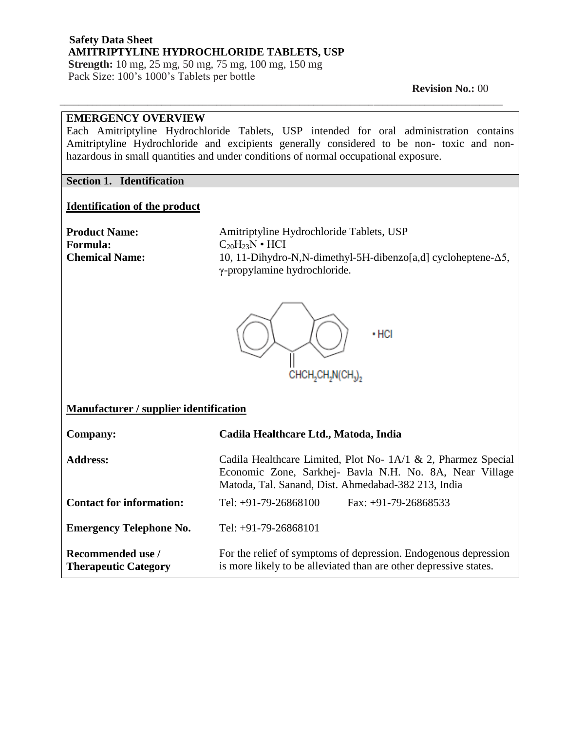**Strength:** 10 mg, 25 mg, 50 mg, 75 mg, 100 mg, 150 mg Pack Size: 100's 1000's Tablets per bottle

 **Revision No.:** 00

#### **EMERGENCY OVERVIEW**

Each Amitriptyline Hydrochloride Tablets, USP intended for oral administration contains Amitriptyline Hydrochloride and excipients generally considered to be non- toxic and nonhazardous in small quantities and under conditions of normal occupational exposure.

\_\_\_\_\_\_\_\_\_\_\_\_\_\_\_\_\_\_\_\_\_\_\_\_\_\_\_\_\_\_\_\_\_\_\_\_\_\_\_\_\_\_\_\_\_\_\_\_\_\_\_\_\_\_\_\_\_\_\_\_\_\_\_\_\_\_\_\_\_\_\_\_\_\_\_\_\_\_\_\_\_\_\_\_\_\_\_\_\_\_\_\_\_\_\_\_

#### **Section 1. Identification**

#### **Identification of the product**

**Formula:**  $C_{20}H_{23}N \cdot HCI$ 

**Product Name:** Amitriptyline Hydrochloride Tablets, USP **Chemical Name:** 10, 11-Dihydro-N,N-dimethyl-5H-dibenzo[a,d] cycloheptene-Δ5, γ-propylamine hydrochloride.



#### **Manufacturer / supplier identification**

| <b>Company:</b>                                  | Cadila Healthcare Ltd., Matoda, India                                                                                                                                           |
|--------------------------------------------------|---------------------------------------------------------------------------------------------------------------------------------------------------------------------------------|
| <b>Address:</b>                                  | Cadila Healthcare Limited, Plot No- 1A/1 & 2, Pharmez Special<br>Economic Zone, Sarkhej- Bavla N.H. No. 8A, Near Village<br>Matoda, Tal. Sanand, Dist. Ahmedabad-382 213, India |
| <b>Contact for information:</b>                  | Tel: $+91-79-26868100$<br>$Fax: +91-79-26868533$                                                                                                                                |
| <b>Emergency Telephone No.</b>                   | Tel: $+91-79-26868101$                                                                                                                                                          |
| Recommended use /<br><b>Therapeutic Category</b> | For the relief of symptoms of depression. Endogenous depression<br>is more likely to be alleviated than are other depressive states.                                            |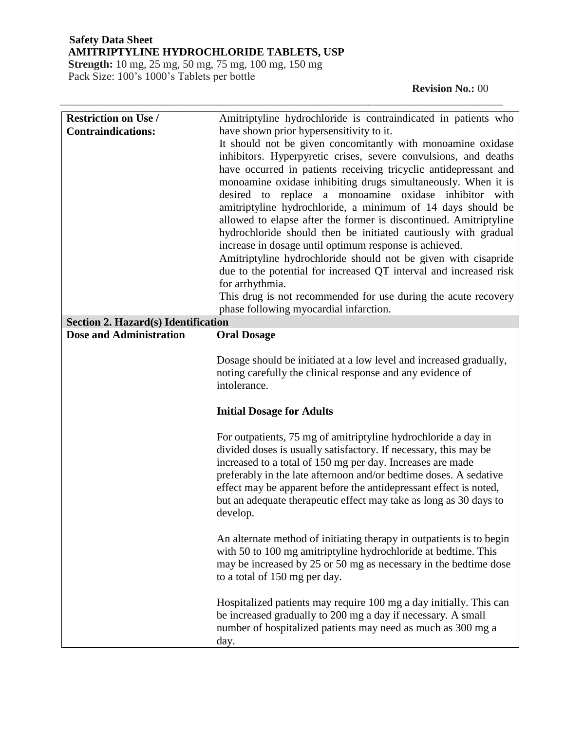**Strength:** 10 mg, 25 mg, 50 mg, 75 mg, 100 mg, 150 mg Pack Size: 100's 1000's Tablets per bottle

| <b>Restriction on Use /</b>         | Amitriptyline hydrochloride is contraindicated in patients who                                                                         |
|-------------------------------------|----------------------------------------------------------------------------------------------------------------------------------------|
| <b>Contraindications:</b>           | have shown prior hypersensitivity to it.                                                                                               |
|                                     | It should not be given concomitantly with monoamine oxidase                                                                            |
|                                     | inhibitors. Hyperpyretic crises, severe convulsions, and deaths                                                                        |
|                                     | have occurred in patients receiving tricyclic antidepressant and                                                                       |
|                                     | monoamine oxidase inhibiting drugs simultaneously. When it is<br>desired to replace a monoamine oxidase inhibitor with                 |
|                                     | amitriptyline hydrochloride, a minimum of 14 days should be                                                                            |
|                                     | allowed to elapse after the former is discontinued. Amitriptyline                                                                      |
|                                     | hydrochloride should then be initiated cautiously with gradual                                                                         |
|                                     | increase in dosage until optimum response is achieved.                                                                                 |
|                                     | Amitriptyline hydrochloride should not be given with cisapride                                                                         |
|                                     | due to the potential for increased QT interval and increased risk                                                                      |
|                                     | for arrhythmia.                                                                                                                        |
|                                     | This drug is not recommended for use during the acute recovery                                                                         |
| Section 2. Hazard(s) Identification | phase following myocardial infarction.                                                                                                 |
| <b>Dose and Administration</b>      | <b>Oral Dosage</b>                                                                                                                     |
|                                     |                                                                                                                                        |
|                                     | Dosage should be initiated at a low level and increased gradually,                                                                     |
|                                     | noting carefully the clinical response and any evidence of                                                                             |
|                                     |                                                                                                                                        |
|                                     | intolerance.                                                                                                                           |
|                                     | <b>Initial Dosage for Adults</b>                                                                                                       |
|                                     |                                                                                                                                        |
|                                     | For outpatients, 75 mg of amitriptyline hydrochloride a day in                                                                         |
|                                     | divided doses is usually satisfactory. If necessary, this may be                                                                       |
|                                     | increased to a total of 150 mg per day. Increases are made<br>preferably in the late afternoon and/or bedtime doses. A sedative        |
|                                     | effect may be apparent before the antidepressant effect is noted,                                                                      |
|                                     | but an adequate therapeutic effect may take as long as 30 days to                                                                      |
|                                     | develop.                                                                                                                               |
|                                     |                                                                                                                                        |
|                                     | An alternate method of initiating therapy in outpatients is to begin<br>with 50 to 100 mg amitriptyline hydrochloride at bedtime. This |
|                                     | may be increased by 25 or 50 mg as necessary in the bedtime dose                                                                       |
|                                     | to a total of 150 mg per day.                                                                                                          |
|                                     |                                                                                                                                        |
|                                     | Hospitalized patients may require 100 mg a day initially. This can                                                                     |
|                                     | be increased gradually to 200 mg a day if necessary. A small<br>number of hospitalized patients may need as much as 300 mg a           |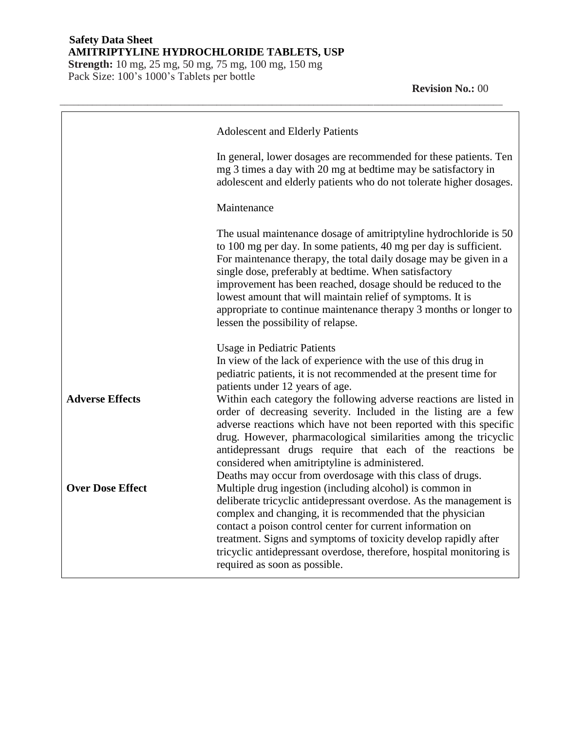**Strength:** 10 mg, 25 mg, 50 mg, 75 mg, 100 mg, 150 mg Pack Size: 100's 1000's Tablets per bottle

|                         | <b>Adolescent and Elderly Patients</b>                                                                                                                                                                                                                                                                                                                                                                                                                                                                         |
|-------------------------|----------------------------------------------------------------------------------------------------------------------------------------------------------------------------------------------------------------------------------------------------------------------------------------------------------------------------------------------------------------------------------------------------------------------------------------------------------------------------------------------------------------|
|                         | In general, lower dosages are recommended for these patients. Ten<br>mg 3 times a day with 20 mg at bedtime may be satisfactory in<br>adolescent and elderly patients who do not tolerate higher dosages.                                                                                                                                                                                                                                                                                                      |
|                         | Maintenance                                                                                                                                                                                                                                                                                                                                                                                                                                                                                                    |
|                         | The usual maintenance dosage of amitriptyline hydrochloride is 50<br>to 100 mg per day. In some patients, 40 mg per day is sufficient.<br>For maintenance therapy, the total daily dosage may be given in a<br>single dose, preferably at bedtime. When satisfactory<br>improvement has been reached, dosage should be reduced to the<br>lowest amount that will maintain relief of symptoms. It is<br>appropriate to continue maintenance therapy 3 months or longer to<br>lessen the possibility of relapse. |
|                         | <b>Usage in Pediatric Patients</b><br>In view of the lack of experience with the use of this drug in<br>pediatric patients, it is not recommended at the present time for<br>patients under 12 years of age.                                                                                                                                                                                                                                                                                                   |
| <b>Adverse Effects</b>  | Within each category the following adverse reactions are listed in<br>order of decreasing severity. Included in the listing are a few<br>adverse reactions which have not been reported with this specific<br>drug. However, pharmacological similarities among the tricyclic<br>antidepressant drugs require that each of the reactions be<br>considered when amitriptyline is administered.<br>Deaths may occur from overdosage with this class of drugs.                                                    |
| <b>Over Dose Effect</b> | Multiple drug ingestion (including alcohol) is common in<br>deliberate tricyclic antidepressant overdose. As the management is<br>complex and changing, it is recommended that the physician<br>contact a poison control center for current information on<br>treatment. Signs and symptoms of toxicity develop rapidly after<br>tricyclic antidepressant overdose, therefore, hospital monitoring is<br>required as soon as possible.                                                                         |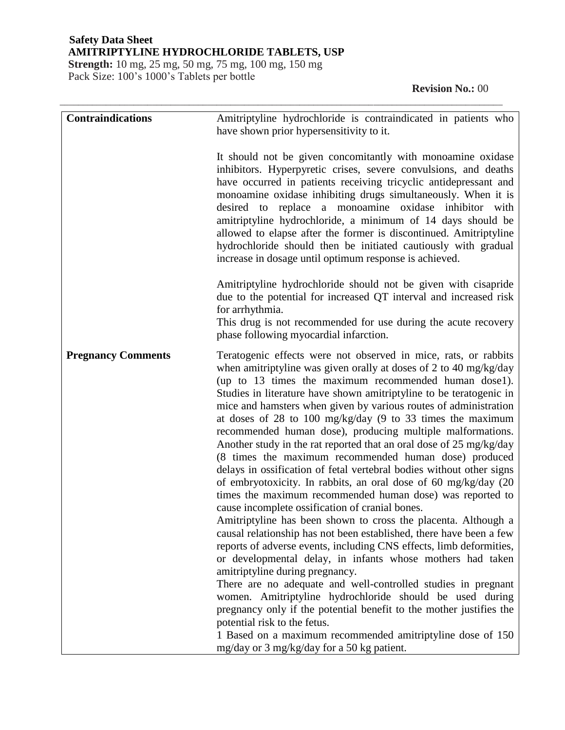**Strength:** 10 mg, 25 mg, 50 mg, 75 mg, 100 mg, 150 mg Pack Size: 100's 1000's Tablets per bottle

# **Revision No.:** 00

| <b>Contraindications</b>  | Amitriptyline hydrochloride is contraindicated in patients who                                                                                                                                                                                                                                                                                                                                                                                                                                                                                                                                                                                                                                                                                                                                                                                                                                                                                                                                                                                                                                                                                                                                                                                                                                                                                                                                                                                                                                                                   |
|---------------------------|----------------------------------------------------------------------------------------------------------------------------------------------------------------------------------------------------------------------------------------------------------------------------------------------------------------------------------------------------------------------------------------------------------------------------------------------------------------------------------------------------------------------------------------------------------------------------------------------------------------------------------------------------------------------------------------------------------------------------------------------------------------------------------------------------------------------------------------------------------------------------------------------------------------------------------------------------------------------------------------------------------------------------------------------------------------------------------------------------------------------------------------------------------------------------------------------------------------------------------------------------------------------------------------------------------------------------------------------------------------------------------------------------------------------------------------------------------------------------------------------------------------------------------|
|                           | have shown prior hypersensitivity to it.                                                                                                                                                                                                                                                                                                                                                                                                                                                                                                                                                                                                                                                                                                                                                                                                                                                                                                                                                                                                                                                                                                                                                                                                                                                                                                                                                                                                                                                                                         |
|                           |                                                                                                                                                                                                                                                                                                                                                                                                                                                                                                                                                                                                                                                                                                                                                                                                                                                                                                                                                                                                                                                                                                                                                                                                                                                                                                                                                                                                                                                                                                                                  |
|                           | It should not be given concomitantly with monoamine oxidase<br>inhibitors. Hyperpyretic crises, severe convulsions, and deaths<br>have occurred in patients receiving tricyclic antidepressant and<br>monoamine oxidase inhibiting drugs simultaneously. When it is<br>desired to replace a monoamine oxidase inhibitor with<br>amitriptyline hydrochloride, a minimum of 14 days should be<br>allowed to elapse after the former is discontinued. Amitriptyline<br>hydrochloride should then be initiated cautiously with gradual<br>increase in dosage until optimum response is achieved.<br>Amitriptyline hydrochloride should not be given with cisapride<br>due to the potential for increased QT interval and increased risk                                                                                                                                                                                                                                                                                                                                                                                                                                                                                                                                                                                                                                                                                                                                                                                              |
|                           | for arrhythmia.<br>This drug is not recommended for use during the acute recovery<br>phase following myocardial infarction.                                                                                                                                                                                                                                                                                                                                                                                                                                                                                                                                                                                                                                                                                                                                                                                                                                                                                                                                                                                                                                                                                                                                                                                                                                                                                                                                                                                                      |
| <b>Pregnancy Comments</b> | Teratogenic effects were not observed in mice, rats, or rabbits<br>when amitriptyline was given orally at doses of 2 to 40 mg/kg/day<br>(up to 13 times the maximum recommended human dose1).<br>Studies in literature have shown amitriptyline to be teratogenic in<br>mice and hamsters when given by various routes of administration<br>at doses of 28 to 100 mg/kg/day (9 to 33 times the maximum<br>recommended human dose), producing multiple malformations.<br>Another study in the rat reported that an oral dose of 25 mg/kg/day<br>(8 times the maximum recommended human dose) produced<br>delays in ossification of fetal vertebral bodies without other signs<br>of embryotoxicity. In rabbits, an oral dose of 60 mg/kg/day (20<br>times the maximum recommended human dose) was reported to<br>cause incomplete ossification of cranial bones.<br>Amitriptyline has been shown to cross the placenta. Although a<br>causal relationship has not been established, there have been a few<br>reports of adverse events, including CNS effects, limb deformities,<br>or developmental delay, in infants whose mothers had taken<br>amitriptyline during pregnancy.<br>There are no adequate and well-controlled studies in pregnant<br>women. Amitriptyline hydrochloride should be used during<br>pregnancy only if the potential benefit to the mother justifies the<br>potential risk to the fetus.<br>1 Based on a maximum recommended amitriptyline dose of 150<br>mg/day or 3 mg/kg/day for a 50 kg patient. |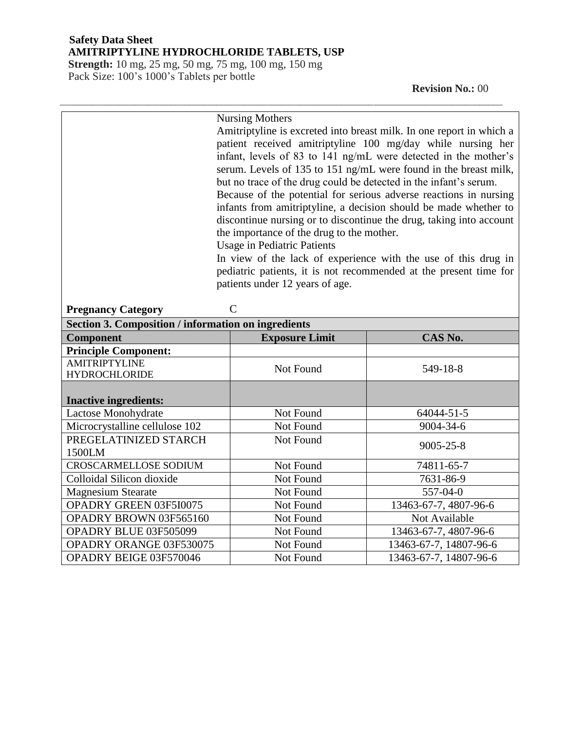**Strength:** 10 mg, 25 mg, 50 mg, 75 mg, 100 mg, 150 mg Pack Size: 100's 1000's Tablets per bottle

 **Revision No.:** 00

|                                                            | <b>Nursing Mothers</b>                                               |                                                                     |  |
|------------------------------------------------------------|----------------------------------------------------------------------|---------------------------------------------------------------------|--|
|                                                            | Amitriptyline is excreted into breast milk. In one report in which a |                                                                     |  |
|                                                            | patient received amitriptyline 100 mg/day while nursing her          |                                                                     |  |
|                                                            | infant, levels of 83 to 141 ng/mL were detected in the mother's      |                                                                     |  |
|                                                            | serum. Levels of 135 to 151 ng/mL were found in the breast milk,     |                                                                     |  |
|                                                            | but no trace of the drug could be detected in the infant's serum.    |                                                                     |  |
|                                                            |                                                                      | Because of the potential for serious adverse reactions in nursing   |  |
|                                                            | infants from amitriptyline, a decision should be made whether to     |                                                                     |  |
|                                                            |                                                                      | discontinue nursing or to discontinue the drug, taking into account |  |
|                                                            | the importance of the drug to the mother.                            |                                                                     |  |
|                                                            | <b>Usage in Pediatric Patients</b>                                   |                                                                     |  |
|                                                            |                                                                      | In view of the lack of experience with the use of this drug in      |  |
|                                                            |                                                                      | pediatric patients, it is not recommended at the present time for   |  |
|                                                            | patients under 12 years of age.                                      |                                                                     |  |
|                                                            |                                                                      |                                                                     |  |
| $\mathbf C$<br><b>Pregnancy Category</b>                   |                                                                      |                                                                     |  |
| <b>Section 3. Composition / information on ingredients</b> |                                                                      |                                                                     |  |
| Component                                                  | <b>Exposure Limit</b>                                                | CAS No.                                                             |  |
| <b>Principle Component:</b>                                |                                                                      |                                                                     |  |
| <b>AMITRIPTYLINE</b>                                       | Not Found                                                            | 549-18-8                                                            |  |
| <b>HYDROCHLORIDE</b>                                       |                                                                      |                                                                     |  |
|                                                            |                                                                      |                                                                     |  |
| <b>Inactive ingredients:</b>                               |                                                                      |                                                                     |  |
| Lactose Monohydrate                                        | Not Found                                                            | 64044-51-5                                                          |  |
| Microcrystalline cellulose 102                             | Not Found                                                            | 9004-34-6                                                           |  |
| PREGELATINIZED STARCH                                      | Not Found                                                            | $9005 - 25 - 8$                                                     |  |
| 1500LM                                                     |                                                                      |                                                                     |  |
| <b>CROSCARMELLOSE SODIUM</b>                               | Not Found                                                            | 74811-65-7                                                          |  |
| Colloidal Silicon dioxide                                  | Not Found                                                            | 7631-86-9                                                           |  |
| <b>Magnesium Stearate</b>                                  | Not Found                                                            | 557-04-0                                                            |  |
| OPADRY GREEN 03F5I0075                                     | Not Found                                                            | 13463-67-7, 4807-96-6                                               |  |
| OPADRY BROWN 03F565160                                     | Not Found                                                            | Not Available                                                       |  |
| OPADRY BLUE 03F505099                                      | Not Found                                                            | 13463-67-7, 4807-96-6                                               |  |
| OPADRY ORANGE 03F530075                                    | Not Found                                                            | 13463-67-7, 14807-96-6                                              |  |
| OPADRY BEIGE 03F570046                                     | Not Found                                                            | 13463-67-7, 14807-96-6                                              |  |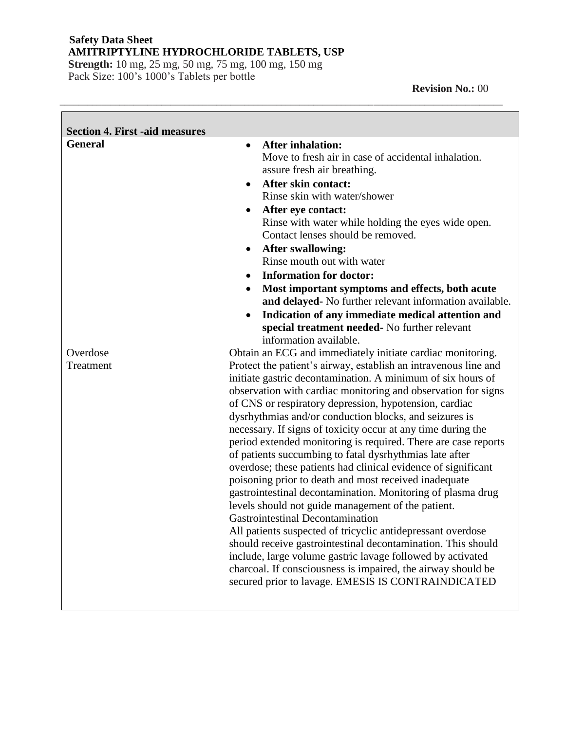**Strength:** 10 mg, 25 mg, 50 mg, 75 mg, 100 mg, 150 mg Pack Size: 100's 1000's Tablets per bottle

**The Company** 

٦

| <b>General</b><br><b>After inhalation:</b><br>$\bullet$<br>Move to fresh air in case of accidental inhalation.<br>assure fresh air breathing.<br><b>After skin contact:</b><br>$\bullet$<br>Rinse skin with water/shower<br>After eye contact:<br>$\bullet$<br>Rinse with water while holding the eyes wide open.<br>Contact lenses should be removed.<br><b>After swallowing:</b><br>$\bullet$<br>Rinse mouth out with water<br><b>Information for doctor:</b><br>$\bullet$<br>Most important symptoms and effects, both acute<br>$\bullet$<br>and delayed- No further relevant information available.<br>Indication of any immediate medical attention and<br>$\bullet$<br>special treatment needed- No further relevant<br>information available.<br>Obtain an ECG and immediately initiate cardiac monitoring.<br>Overdose<br>Protect the patient's airway, establish an intravenous line and<br>Treatment<br>initiate gastric decontamination. A minimum of six hours of<br>observation with cardiac monitoring and observation for signs<br>of CNS or respiratory depression, hypotension, cardiac<br>dysrhythmias and/or conduction blocks, and seizures is<br>necessary. If signs of toxicity occur at any time during the<br>period extended monitoring is required. There are case reports<br>of patients succumbing to fatal dysrhythmias late after<br>overdose; these patients had clinical evidence of significant<br>poisoning prior to death and most received inadequate<br>gastrointestinal decontamination. Monitoring of plasma drug<br>levels should not guide management of the patient.<br><b>Gastrointestinal Decontamination</b><br>All patients suspected of tricyclic antidepressant overdose<br>should receive gastrointestinal decontamination. This should<br>include, large volume gastric lavage followed by activated<br>charcoal. If consciousness is impaired, the airway should be | <b>Section 4. First -aid measures</b> |  |
|------------------------------------------------------------------------------------------------------------------------------------------------------------------------------------------------------------------------------------------------------------------------------------------------------------------------------------------------------------------------------------------------------------------------------------------------------------------------------------------------------------------------------------------------------------------------------------------------------------------------------------------------------------------------------------------------------------------------------------------------------------------------------------------------------------------------------------------------------------------------------------------------------------------------------------------------------------------------------------------------------------------------------------------------------------------------------------------------------------------------------------------------------------------------------------------------------------------------------------------------------------------------------------------------------------------------------------------------------------------------------------------------------------------------------------------------------------------------------------------------------------------------------------------------------------------------------------------------------------------------------------------------------------------------------------------------------------------------------------------------------------------------------------------------------------------------------------------------------------------------------------------------------------------------|---------------------------------------|--|
| secured prior to lavage. EMESIS IS CONTRAINDICATED                                                                                                                                                                                                                                                                                                                                                                                                                                                                                                                                                                                                                                                                                                                                                                                                                                                                                                                                                                                                                                                                                                                                                                                                                                                                                                                                                                                                                                                                                                                                                                                                                                                                                                                                                                                                                                                                     |                                       |  |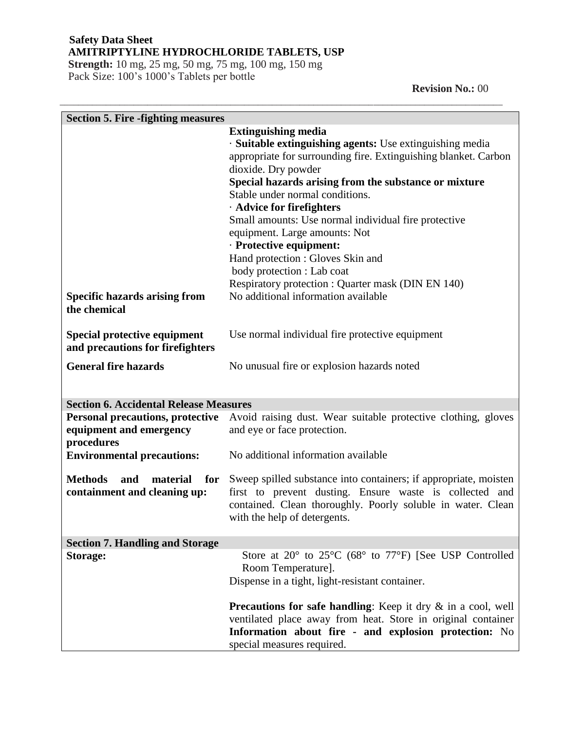**Strength:** 10 mg, 25 mg, 50 mg, 75 mg, 100 mg, 150 mg Pack Size: 100's 1000's Tablets per bottle

 **Revision No.:** 00

| <b>Section 5. Fire - fighting measures</b>                                       |                                                                                                                                                                                                                                                                                                                                                                                                                                                                                                                                                                                               |
|----------------------------------------------------------------------------------|-----------------------------------------------------------------------------------------------------------------------------------------------------------------------------------------------------------------------------------------------------------------------------------------------------------------------------------------------------------------------------------------------------------------------------------------------------------------------------------------------------------------------------------------------------------------------------------------------|
| <b>Specific hazards arising from</b>                                             | <b>Extinguishing media</b><br>· Suitable extinguishing agents: Use extinguishing media<br>appropriate for surrounding fire. Extinguishing blanket. Carbon<br>dioxide. Dry powder<br>Special hazards arising from the substance or mixture<br>Stable under normal conditions.<br>· Advice for firefighters<br>Small amounts: Use normal individual fire protective<br>equipment. Large amounts: Not<br>· Protective equipment:<br>Hand protection : Gloves Skin and<br>body protection : Lab coat<br>Respiratory protection : Quarter mask (DIN EN 140)<br>No additional information available |
| the chemical                                                                     |                                                                                                                                                                                                                                                                                                                                                                                                                                                                                                                                                                                               |
| Special protective equipment<br>and precautions for firefighters                 | Use normal individual fire protective equipment                                                                                                                                                                                                                                                                                                                                                                                                                                                                                                                                               |
| <b>General fire hazards</b>                                                      | No unusual fire or explosion hazards noted                                                                                                                                                                                                                                                                                                                                                                                                                                                                                                                                                    |
| <b>Section 6. Accidental Release Measures</b>                                    |                                                                                                                                                                                                                                                                                                                                                                                                                                                                                                                                                                                               |
| <b>Personal precautions, protective</b><br>equipment and emergency<br>procedures | Avoid raising dust. Wear suitable protective clothing, gloves<br>and eye or face protection.                                                                                                                                                                                                                                                                                                                                                                                                                                                                                                  |
| <b>Environmental precautions:</b>                                                | No additional information available                                                                                                                                                                                                                                                                                                                                                                                                                                                                                                                                                           |
| <b>Methods</b><br>material for<br>and<br>containment and cleaning up:            | Sweep spilled substance into containers; if appropriate, moisten<br>first to prevent dusting. Ensure waste is collected and<br>contained. Clean thoroughly. Poorly soluble in water. Clean<br>with the help of detergents.                                                                                                                                                                                                                                                                                                                                                                    |
| <b>Section 7. Handling and Storage</b>                                           |                                                                                                                                                                                                                                                                                                                                                                                                                                                                                                                                                                                               |
| <b>Storage:</b>                                                                  | Store at 20° to 25°C (68° to 77°F) [See USP Controlled<br>Room Temperature].<br>Dispense in a tight, light-resistant container.                                                                                                                                                                                                                                                                                                                                                                                                                                                               |
|                                                                                  | Precautions for safe handling: Keep it dry & in a cool, well<br>ventilated place away from heat. Store in original container<br>Information about fire - and explosion protection: No<br>special measures required.                                                                                                                                                                                                                                                                                                                                                                           |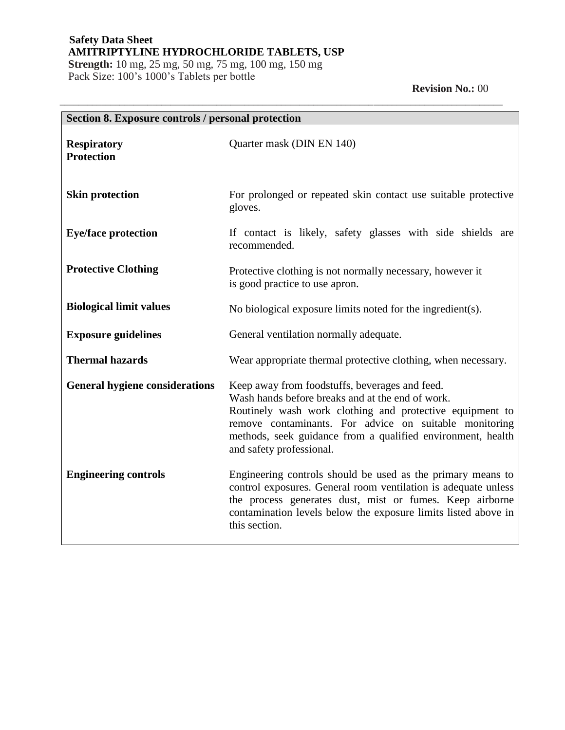**Strength:** 10 mg, 25 mg, 50 mg, 75 mg, 100 mg, 150 mg Pack Size: 100's 1000's Tablets per bottle

## **Revision No.:** 00

| Section 8. Exposure controls / personal protection |                                                                                                                                                                                                                                                                                                                     |
|----------------------------------------------------|---------------------------------------------------------------------------------------------------------------------------------------------------------------------------------------------------------------------------------------------------------------------------------------------------------------------|
| <b>Respiratory</b><br><b>Protection</b>            | Quarter mask (DIN EN 140)                                                                                                                                                                                                                                                                                           |
| <b>Skin protection</b>                             | For prolonged or repeated skin contact use suitable protective<br>gloves.                                                                                                                                                                                                                                           |
| <b>Eye/face protection</b>                         | If contact is likely, safety glasses with side shields are<br>recommended.                                                                                                                                                                                                                                          |
| <b>Protective Clothing</b>                         | Protective clothing is not normally necessary, however it<br>is good practice to use apron.                                                                                                                                                                                                                         |
| <b>Biological limit values</b>                     | No biological exposure limits noted for the ingredient(s).                                                                                                                                                                                                                                                          |
| <b>Exposure guidelines</b>                         | General ventilation normally adequate.                                                                                                                                                                                                                                                                              |
| <b>Thermal hazards</b>                             | Wear appropriate thermal protective clothing, when necessary.                                                                                                                                                                                                                                                       |
| <b>General hygiene considerations</b>              | Keep away from foodstuffs, beverages and feed.<br>Wash hands before breaks and at the end of work.<br>Routinely wash work clothing and protective equipment to<br>remove contaminants. For advice on suitable monitoring<br>methods, seek guidance from a qualified environment, health<br>and safety professional. |
| <b>Engineering controls</b>                        | Engineering controls should be used as the primary means to<br>control exposures. General room ventilation is adequate unless<br>the process generates dust, mist or fumes. Keep airborne<br>contamination levels below the exposure limits listed above in<br>this section.                                        |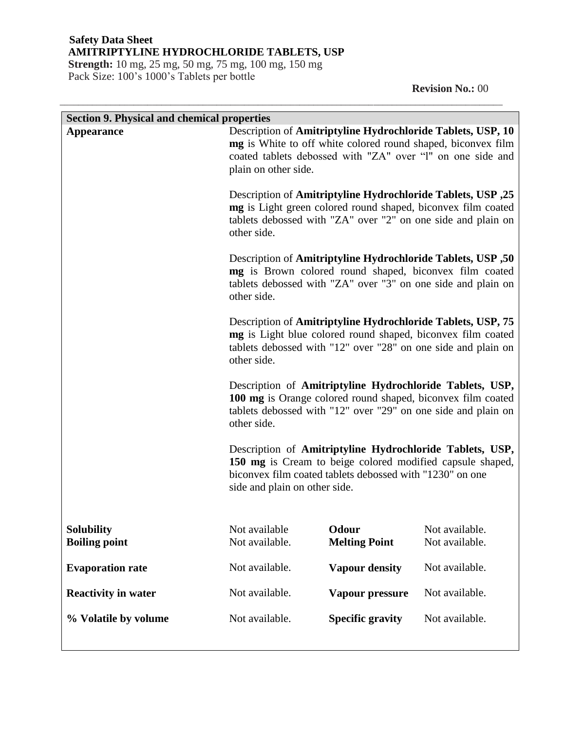**Strength:** 10 mg, 25 mg, 50 mg, 75 mg, 100 mg, 150 mg Pack Size: 100's 1000's Tablets per bottle

 **Revision No.:** 00

| <b>Section 9. Physical and chemical properties</b> |                                                                                           |                               |                                                                                                                                                                                             |
|----------------------------------------------------|-------------------------------------------------------------------------------------------|-------------------------------|---------------------------------------------------------------------------------------------------------------------------------------------------------------------------------------------|
| <b>Appearance</b>                                  | plain on other side.                                                                      |                               | Description of Amitriptyline Hydrochloride Tablets, USP, 10<br>mg is White to off white colored round shaped, biconvex film<br>coated tablets debossed with "ZA" over "l" on one side and   |
|                                                    | other side.                                                                               |                               | Description of Amitriptyline Hydrochloride Tablets, USP ,25<br>mg is Light green colored round shaped, biconvex film coated<br>tablets debossed with "ZA" over "2" on one side and plain on |
|                                                    | other side.                                                                               |                               | Description of Amitriptyline Hydrochloride Tablets, USP ,50<br>mg is Brown colored round shaped, biconvex film coated<br>tablets debossed with "ZA" over "3" on one side and plain on       |
|                                                    | other side.                                                                               |                               | Description of Amitriptyline Hydrochloride Tablets, USP, 75<br>mg is Light blue colored round shaped, biconvex film coated<br>tablets debossed with "12" over "28" on one side and plain on |
|                                                    | other side.                                                                               |                               | Description of Amitriptyline Hydrochloride Tablets, USP,<br>100 mg is Orange colored round shaped, biconvex film coated<br>tablets debossed with "12" over "29" on one side and plain on    |
|                                                    | biconvex film coated tablets debossed with "1230" on one<br>side and plain on other side. |                               | Description of Amitriptyline Hydrochloride Tablets, USP,<br>150 mg is Cream to beige colored modified capsule shaped,                                                                       |
| <b>Solubility</b><br><b>Boiling point</b>          | Not available<br>Not available.                                                           | Odour<br><b>Melting Point</b> | Not available.<br>Not available.                                                                                                                                                            |
| <b>Evaporation rate</b>                            | Not available.                                                                            | <b>Vapour density</b>         | Not available.                                                                                                                                                                              |
| <b>Reactivity in water</b>                         | Not available.                                                                            | Vapour pressure               | Not available.                                                                                                                                                                              |
| % Volatile by volume                               | Not available.                                                                            | <b>Specific gravity</b>       | Not available.                                                                                                                                                                              |
|                                                    |                                                                                           |                               |                                                                                                                                                                                             |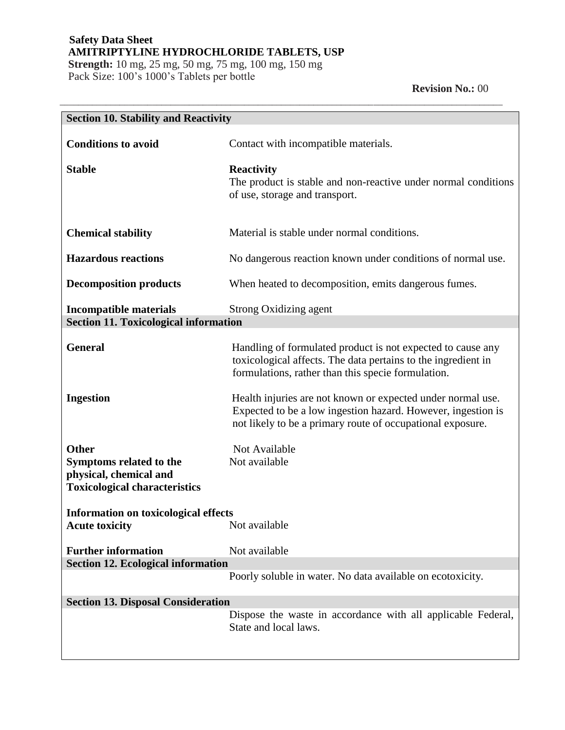**Strength:** 10 mg, 25 mg, 50 mg, 75 mg, 100 mg, 150 mg Pack Size: 100's 1000's Tablets per bottle

 **Revision No.:** 00

| <b>Section 10. Stability and Reactivity</b>                          |                                                                                                                                                                                           |
|----------------------------------------------------------------------|-------------------------------------------------------------------------------------------------------------------------------------------------------------------------------------------|
| <b>Conditions to avoid</b>                                           | Contact with incompatible materials.                                                                                                                                                      |
| <b>Stable</b>                                                        | <b>Reactivity</b><br>The product is stable and non-reactive under normal conditions<br>of use, storage and transport.                                                                     |
| <b>Chemical stability</b>                                            | Material is stable under normal conditions.                                                                                                                                               |
| <b>Hazardous reactions</b>                                           | No dangerous reaction known under conditions of normal use.                                                                                                                               |
| <b>Decomposition products</b>                                        | When heated to decomposition, emits dangerous fumes.                                                                                                                                      |
| <b>Incompatible materials</b>                                        | Strong Oxidizing agent                                                                                                                                                                    |
| <b>Section 11. Toxicological information</b>                         |                                                                                                                                                                                           |
| <b>General</b>                                                       | Handling of formulated product is not expected to cause any<br>toxicological affects. The data pertains to the ingredient in<br>formulations, rather than this specie formulation.        |
| <b>Ingestion</b>                                                     | Health injuries are not known or expected under normal use.<br>Expected to be a low ingestion hazard. However, ingestion is<br>not likely to be a primary route of occupational exposure. |
| <b>Other</b>                                                         | Not Available                                                                                                                                                                             |
| Symptoms related to the                                              | Not available                                                                                                                                                                             |
| physical, chemical and<br><b>Toxicological characteristics</b>       |                                                                                                                                                                                           |
| <b>Information on toxicological effects</b><br><b>Acute toxicity</b> | Not available                                                                                                                                                                             |
| <b>Further information</b>                                           | Not available                                                                                                                                                                             |
| <b>Section 12. Ecological information</b>                            |                                                                                                                                                                                           |
|                                                                      | Poorly soluble in water. No data available on ecotoxicity.                                                                                                                                |
| <b>Section 13. Disposal Consideration</b>                            |                                                                                                                                                                                           |
|                                                                      | Dispose the waste in accordance with all applicable Federal,<br>State and local laws.                                                                                                     |